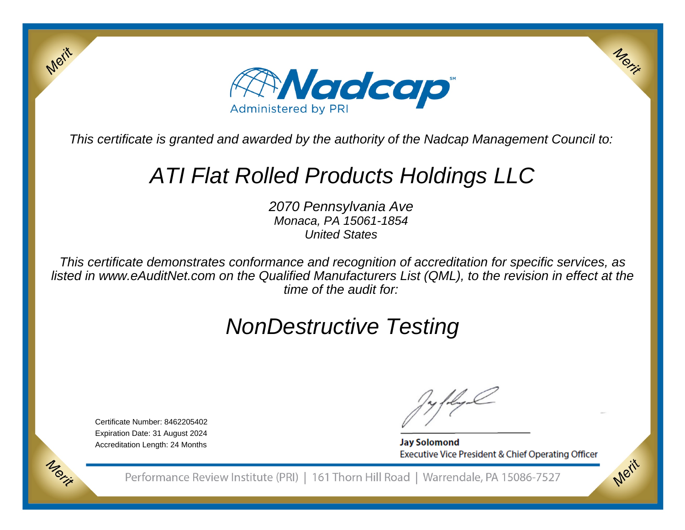

This certificate is granted and awarded by the authority of the Nadcap Management Council to:

# ATI Flat Rolled Products Holdings LLC

2070 Pennsylvania Ave Monaca, PA 15061-1854United States

This certificate demonstrates conformance and recognition of accreditation for specific services, as listed in www.eAuditNet.com on the Qualified Manufacturers List (QML), to the revision in effect at thetime of the audit for:

# NonDestructive Testing

Certificate Number: 8462205402 Expiration Date: 31 August 2024Accreditation Length: 24 Months

Merit

**Jay Solomond** Executive Vice President & Chief Operating Officer Merix

Merit

Performance Review Institute (PRI) | 161 Thorn Hill Road | Warrendale, PA 15086-7527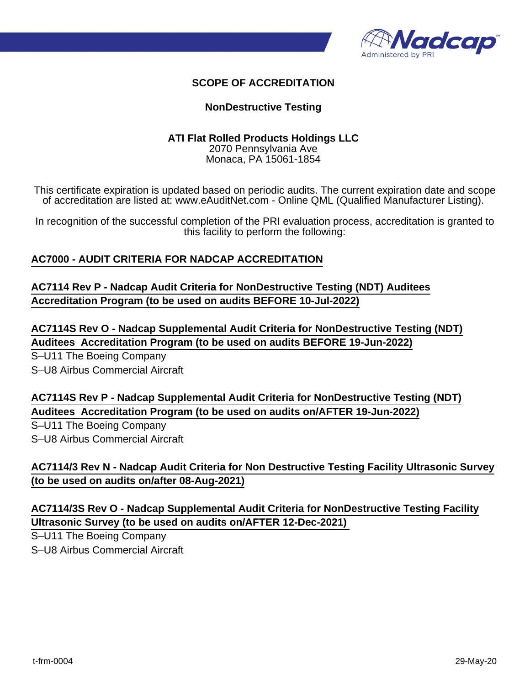

## **SCOPE OF ACCREDITATION**

### **NonDestructive Testing**

#### **ATI Flat Rolled Products Holdings LLC**

2070 Pennsylvania Ave Monaca, PA 15061-1854

This certificate expiration is updated based on periodic audits. The current expiration date and scope of accreditation are listed at: www.eAuditNet.com - Online QML (Qualified Manufacturer Listing).

In recognition of the successful completion of the PRI evaluation process, accreditation is granted to this facility to perform the following:

### **AC7000 - AUDIT CRITERIA FOR NADCAP ACCREDITATION**

**AC7114 Rev P - Nadcap Audit Criteria for NonDestructive Testing (NDT) Auditees Accreditation Program (to be used on audits BEFORE 10-Jul-2022)**

**AC7114S Rev O - Nadcap Supplemental Audit Criteria for NonDestructive Testing (NDT) Auditees Accreditation Program (to be used on audits BEFORE 19-Jun-2022)**

S–U11 The Boeing Company S–U8 Airbus Commercial Aircraft

**AC7114S Rev P - Nadcap Supplemental Audit Criteria for NonDestructive Testing (NDT) Auditees Accreditation Program (to be used on audits on/AFTER 19-Jun-2022)**

S–U11 The Boeing Company

S–U8 Airbus Commercial Aircraft

**AC7114/3 Rev N - Nadcap Audit Criteria for Non Destructive Testing Facility Ultrasonic Survey (to be used on audits on/after 08-Aug-2021)**

**AC7114/3S Rev O - Nadcap Supplemental Audit Criteria for NonDestructive Testing Facility Ultrasonic Survey (to be used on audits on/AFTER 12-Dec-2021)** 

S–U11 The Boeing Company

S–U8 Airbus Commercial Aircraft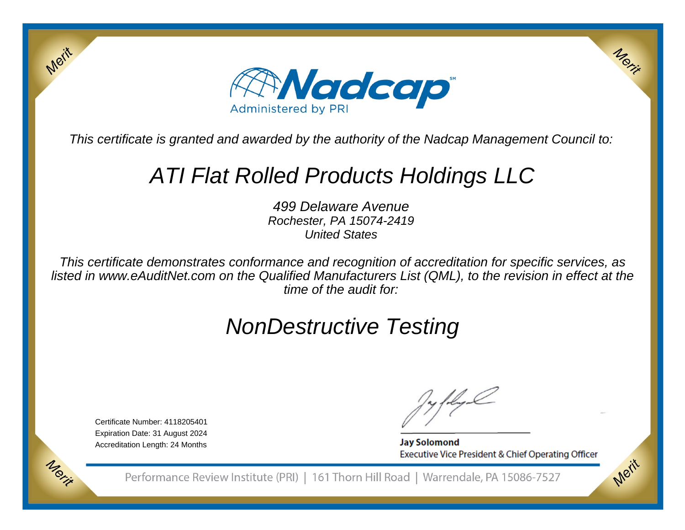

This certificate is granted and awarded by the authority of the Nadcap Management Council to:

# ATI Flat Rolled Products Holdings LLC

499 Delaware Avenue Rochester, PA 15074-2419United States

This certificate demonstrates conformance and recognition of accreditation for specific services, as listed in www.eAuditNet.com on the Qualified Manufacturers List (QML), to the revision in effect at thetime of the audit for:

# NonDestructive Testing

Certificate Number: 4118205401 Expiration Date: 31 August 2024Accreditation Length: 24 Months

Merit

**Jay Solomond** Executive Vice President & Chief Operating Officer Merit

Merit

Performance Review Institute (PRI) | 161 Thorn Hill Road | Warrendale, PA 15086-7527